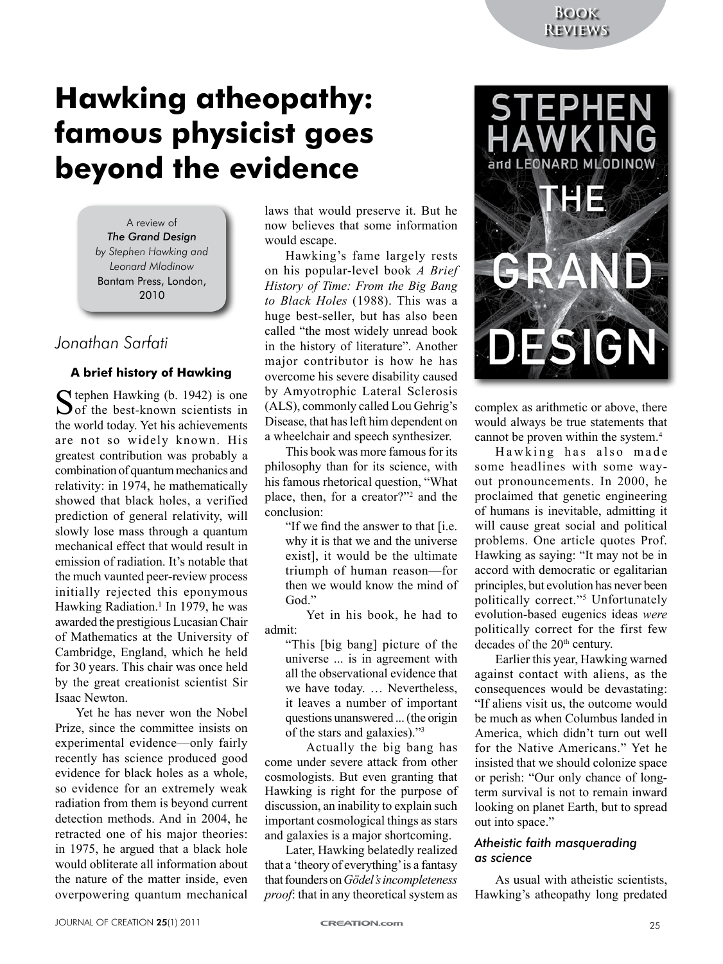## **Book Reviews**

# **Hawking atheopathy: famous physicist goes beyond the evidence**

A review of *The Grand Design by Stephen Hawking and Leonard Mlodinow* Bantam Press, London, 2010

# *Jonathan Sarfati*

### **A brief history of Hawking**

C tephen Hawking (b. 1942) is one  $\int$  of the best-known scientists in the world today. Yet his achievements are not so widely known. His greatest contribution was probably a combination of quantum mechanics and relativity: in 1974, he mathematically showed that black holes, a verified prediction of general relativity, will slowly lose mass through a quantum mechanical effect that would result in emission of radiation. It's notable that the much vaunted peer-review process initially rejected this eponymous Hawking Radiation.<sup>1</sup> In 1979, he was awarded the prestigious Lucasian Chair of Mathematics at the University of Cambridge, England, which he held for 30 years. This chair was once held by the great creationist scientist Sir Isaac Newton.

Yet he has never won the Nobel Prize, since the committee insists on experimental evidence—only fairly recently has science produced good evidence for black holes as a whole, so evidence for an extremely weak radiation from them is beyond current detection methods. And in 2004, he retracted one of his major theories: in 1975, he argued that a black hole would obliterate all information about the nature of the matter inside, even overpowering quantum mechanical

laws that would preserve it. But he now believes that some information would escape.

Hawking's fame largely rests on his popular-level book *A Brief History of Time: From the Big Bang to Black Holes* (1988). This was a huge best-seller, but has also been called "the most widely unread book in the history of literature". Another major contributor is how he has overcome his severe disability caused by Amyotrophic Lateral Sclerosis (ALS), commonly called Lou Gehrig's Disease, that has left him dependent on a wheelchair and speech synthesizer.

This book was more famous for its philosophy than for its science, with his famous rhetorical question, "What place, then, for a creator?"2 and the conclusion:

"If we find the answer to that [i.e. why it is that we and the universe exist], it would be the ultimate triumph of human reason—for then we would know the mind of God<sup>"</sup>

Yet in his book, he had to admit:

"This [big bang] picture of the universe ... is in agreement with all the observational evidence that we have today. … Nevertheless, it leaves a number of important questions unanswered ... (the origin of the stars and galaxies)."3

Actually the big bang has come under severe attack from other cosmologists. But even granting that Hawking is right for the purpose of discussion, an inability to explain such important cosmological things as stars and galaxies is a major shortcoming.

Later, Hawking belatedly realized that a 'theory of everything' is a fantasy that founders on *Gödel's incompleteness proof*: that in any theoretical system as



complex as arithmetic or above, there would always be true statements that cannot be proven within the system.4

Hawking has also made some headlines with some wayout pronouncements. In 2000, he proclaimed that genetic engineering of humans is inevitable, admitting it will cause great social and political problems. One article quotes Prof. Hawking as saying: "It may not be in accord with democratic or egalitarian principles, but evolution has never been politically correct."5 Unfortunately evolution-based eugenics ideas *were*  politically correct for the first few decades of the 20<sup>th</sup> century.

Earlier this year, Hawking warned against contact with aliens, as the consequences would be devastating: "If aliens visit us, the outcome would be much as when Columbus landed in America, which didn't turn out well for the Native Americans." Yet he insisted that we should colonize space or perish: "Our only chance of longterm survival is not to remain inward looking on planet Earth, but to spread out into space."

#### *Atheistic faith masquerading as science*

As usual with atheistic scientists, Hawking's atheopathy long predated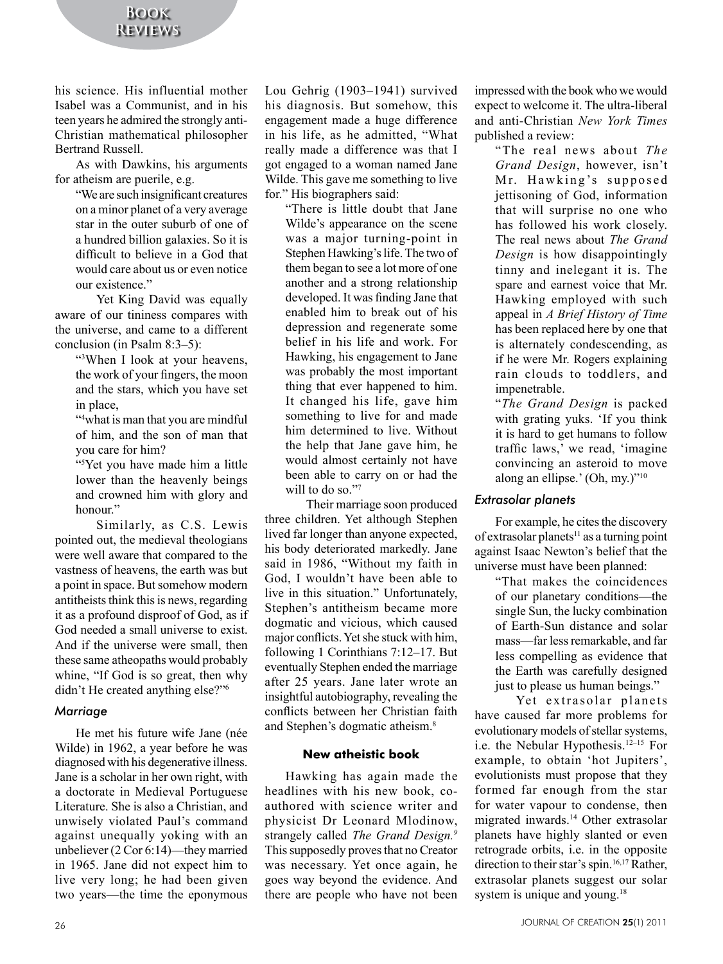his science. His influential mother Isabel was a Communist, and in his teen years he admired the strongly anti-Christian mathematical philosopher Bertrand Russell.

As with Dawkins, his arguments for atheism are puerile, e.g.

"We are such insignificant creatures on a minor planet of a very average star in the outer suburb of one of a hundred billion galaxies. So it is difficult to believe in a God that would care about us or even notice our existence."

Yet King David was equally aware of our tininess compares with the universe, and came to a different conclusion (in Psalm 8:3–5):

> "3 When I look at your heavens, the work of your fingers, the moon and the stars, which you have set in place,

> "4 what is man that you are mindful of him, and the son of man that you care for him?

> "5 Yet you have made him a little lower than the heavenly beings and crowned him with glory and honour."

Similarly, as C.S. Lewis pointed out, the medieval theologians were well aware that compared to the vastness of heavens, the earth was but a point in space. But somehow modern antitheists think this is news, regarding it as a profound disproof of God, as if God needed a small universe to exist. And if the universe were small, then these same atheopaths would probably whine, "If God is so great, then why didn't He created anything else?"6

#### *Marriage*

He met his future wife Jane (née Wilde) in 1962, a year before he was diagnosed with his degenerative illness. Jane is a scholar in her own right, with a doctorate in Medieval Portuguese Literature. She is also a Christian, and unwisely violated Paul's command against unequally yoking with an unbeliever (2 Cor 6:14)—they married in 1965. Jane did not expect him to live very long; he had been given two years—the time the eponymous

Lou Gehrig (1903–1941) survived his diagnosis. But somehow, this engagement made a huge difference in his life, as he admitted, "What really made a difference was that I got engaged to a woman named Jane Wilde. This gave me something to live for." His biographers said:

"There is little doubt that Jane Wilde's appearance on the scene was a major turning-point in Stephen Hawking's life. The two of them began to see a lot more of one another and a strong relationship developed. It was finding Jane that enabled him to break out of his depression and regenerate some belief in his life and work. For Hawking, his engagement to Jane was probably the most important thing that ever happened to him. It changed his life, gave him something to live for and made him determined to live. Without the help that Jane gave him, he would almost certainly not have been able to carry on or had the will to do so."7

Their marriage soon produced three children. Yet although Stephen lived far longer than anyone expected, his body deteriorated markedly. Jane said in 1986, "Without my faith in God, I wouldn't have been able to live in this situation." Unfortunately, Stephen's antitheism became more dogmatic and vicious, which caused major conflicts. Yet she stuck with him, following 1 Corinthians 7:12–17. But eventually Stephen ended the marriage after 25 years. Jane later wrote an insightful autobiography, revealing the conflicts between her Christian faith and Stephen's dogmatic atheism.8

#### **New atheistic book**

Hawking has again made the headlines with his new book, coauthored with science writer and physicist Dr Leonard Mlodinow, strangely called *The Grand Design.9*  This supposedly proves that no Creator was necessary. Yet once again, he goes way beyond the evidence. And there are people who have not been

impressed with the book who we would expect to welcome it. The ultra-liberal and anti-Christian *New York Times* published a review:

> "The real news about *The Grand Design*, however, isn't Mr. Hawking's supposed jettisoning of God, information that will surprise no one who has followed his work closely. The real news about *The Grand Design* is how disappointingly tinny and inelegant it is. The spare and earnest voice that Mr. Hawking employed with such appeal in *A Brief History of Time*  has been replaced here by one that is alternately condescending, as if he were Mr. Rogers explaining rain clouds to toddlers, and impenetrable.

> "*The Grand Design* is packed with grating yuks. 'If you think it is hard to get humans to follow traffic laws,' we read, 'imagine convincing an asteroid to move along an ellipse.' (Oh, my.)"10

#### *Extrasolar planets*

For example, he cites the discovery of extrasolar planets<sup>11</sup> as a turning point against Isaac Newton's belief that the universe must have been planned:

> "That makes the coincidences of our planetary conditions—the single Sun, the lucky combination of Earth-Sun distance and solar mass—far less remarkable, and far less compelling as evidence that the Earth was carefully designed just to please us human beings."

Yet extrasolar planets have caused far more problems for evolutionary models of stellar systems, i.e. the Nebular Hypothesis.12–15 For example, to obtain 'hot Jupiters', evolutionists must propose that they formed far enough from the star for water vapour to condense, then migrated inwards.<sup>14</sup> Other extrasolar planets have highly slanted or even retrograde orbits, i.e. in the opposite direction to their star's spin.16,17 Rather, extrasolar planets suggest our solar system is unique and young.<sup>18</sup>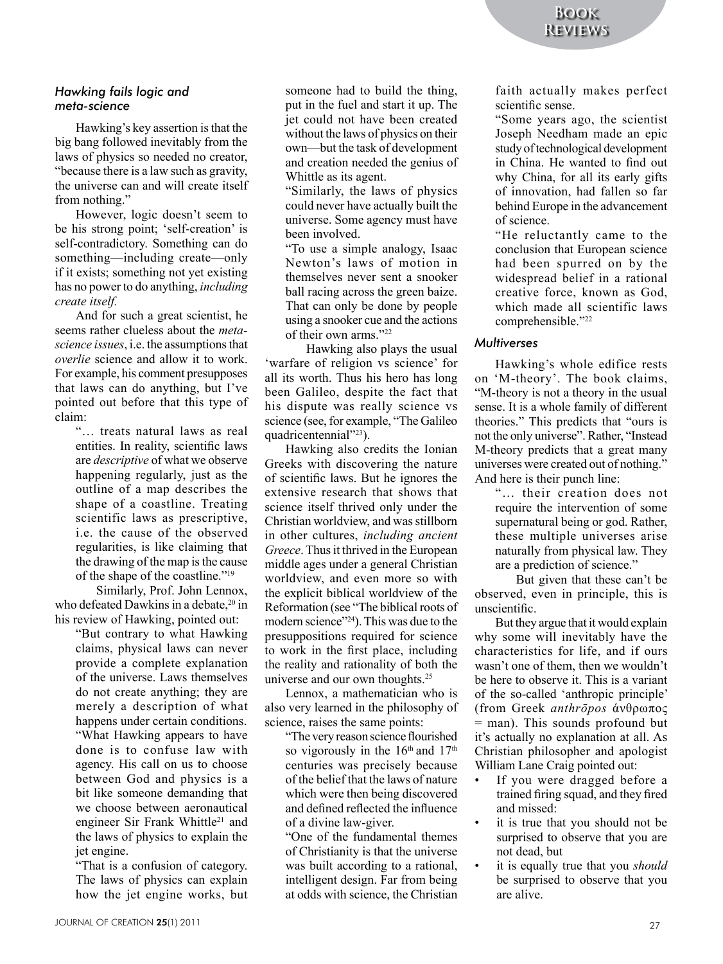#### *Hawking fails logic and meta-science*

Hawking's key assertion is that the big bang followed inevitably from the laws of physics so needed no creator, "because there is a law such as gravity, the universe can and will create itself from nothing."

However, logic doesn't seem to be his strong point; 'self-creation' is self-contradictory. Something can do something—including create—only if it exists; something not yet existing has no power to do anything, *including create itself.*

And for such a great scientist, he seems rather clueless about the *metascience issues*, i.e. the assumptions that *overlie* science and allow it to work. For example, his comment presupposes that laws can do anything, but I've pointed out before that this type of claim:

"… treats natural laws as real entities. In reality, scientific laws are *descriptive* of what we observe happening regularly, just as the outline of a map describes the shape of a coastline. Treating scientific laws as prescriptive, i.e. the cause of the observed regularities, is like claiming that the drawing of the map is the cause of the shape of the coastline."19

Similarly, Prof. John Lennox, who defeated Dawkins in a debate,<sup>20</sup> in his review of Hawking, pointed out:

"But contrary to what Hawking claims, physical laws can never provide a complete explanation of the universe. Laws themselves do not create anything; they are merely a description of what happens under certain conditions. "What Hawking appears to have done is to confuse law with agency. His call on us to choose between God and physics is a bit like someone demanding that we choose between aeronautical engineer Sir Frank Whittle<sup>21</sup> and the laws of physics to explain the jet engine.

"That is a confusion of category. The laws of physics can explain how the jet engine works, but

someone had to build the thing, put in the fuel and start it up. The jet could not have been created without the laws of physics on their own—but the task of development and creation needed the genius of Whittle as its agent.

"Similarly, the laws of physics could never have actually built the universe. Some agency must have been involved.

"To use a simple analogy, Isaac Newton's laws of motion in themselves never sent a snooker ball racing across the green baize. That can only be done by people using a snooker cue and the actions of their own arms."22

Hawking also plays the usual 'warfare of religion vs science' for all its worth. Thus his hero has long been Galileo, despite the fact that his dispute was really science vs science (see, for example, "The Galileo quadricentennial"23).

Hawking also credits the Ionian Greeks with discovering the nature of scientific laws. But he ignores the extensive research that shows that science itself thrived only under the Christian worldview, and was stillborn in other cultures, *including ancient Greece*. Thus it thrived in the European middle ages under a general Christian worldview, and even more so with the explicit biblical worldview of the Reformation (see "The biblical roots of modern science"<sup>24</sup>). This was due to the presuppositions required for science to work in the first place, including the reality and rationality of both the universe and our own thoughts.25

Lennox, a mathematician who is also very learned in the philosophy of science, raises the same points:

"The very reason science flourished so vigorously in the  $16<sup>th</sup>$  and  $17<sup>th</sup>$ centuries was precisely because of the belief that the laws of nature which were then being discovered and defined reflected the influence of a divine law-giver.

"One of the fundamental themes of Christianity is that the universe was built according to a rational, intelligent design. Far from being at odds with science, the Christian

faith actually makes perfect scientific sense.

"Some years ago, the scientist Joseph Needham made an epic study of technological development in China. He wanted to find out why China, for all its early gifts of innovation, had fallen so far behind Europe in the advancement of science.

"He reluctantly came to the conclusion that European science had been spurred on by the widespread belief in a rational creative force, known as God, which made all scientific laws comprehensible."22

#### *Multiverses*

Hawking's whole edifice rests on 'M-theory'. The book claims, "M-theory is not a theory in the usual sense. It is a whole family of different theories." This predicts that "ours is not the only universe". Rather, "Instead M-theory predicts that a great many universes were created out of nothing." And here is their punch line:

"… their creation does not require the intervention of some supernatural being or god. Rather, these multiple universes arise naturally from physical law. They are a prediction of science."

But given that these can't be observed, even in principle, this is unscientific.

But they argue that it would explain why some will inevitably have the characteristics for life, and if ours wasn't one of them, then we wouldn't be here to observe it. This is a variant of the so-called 'anthropic principle' (from Greek *anthrōpos* άνθρωπος = man). This sounds profound but it's actually no explanation at all. As Christian philosopher and apologist William Lane Craig pointed out:

- If you were dragged before a trained firing squad, and they fired and missed:
- it is true that you should not be surprised to observe that you are not dead, but
- it is equally true that you *should*  be surprised to observe that you are alive.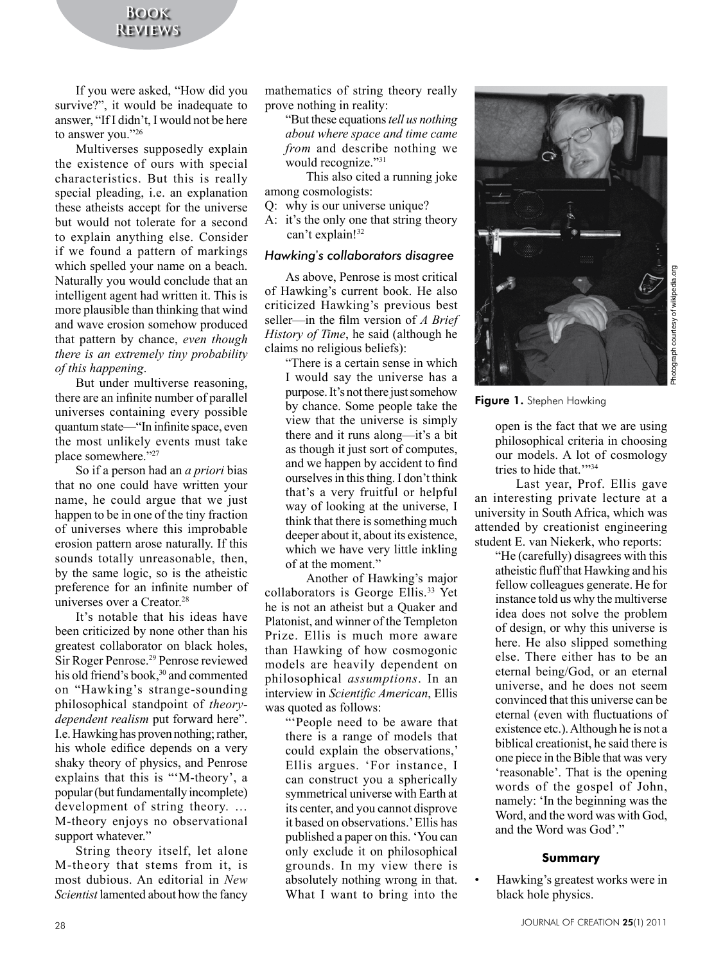**Book Reviews**

If you were asked, "How did you survive?", it would be inadequate to answer, "If I didn't, I would not be here to answer you."26

Multiverses supposedly explain the existence of ours with special characteristics. But this is really special pleading, i.e. an explanation these atheists accept for the universe but would not tolerate for a second to explain anything else. Consider if we found a pattern of markings which spelled your name on a beach. Naturally you would conclude that an intelligent agent had written it. This is more plausible than thinking that wind and wave erosion somehow produced that pattern by chance, *even though there is an extremely tiny probability of this happening*.

But under multiverse reasoning, there are an infinite number of parallel universes containing every possible quantum state—"In infinite space, even the most unlikely events must take place somewhere."27

So if a person had an *a priori* bias that no one could have written your name, he could argue that we just happen to be in one of the tiny fraction of universes where this improbable erosion pattern arose naturally. If this sounds totally unreasonable, then, by the same logic, so is the atheistic preference for an infinite number of universes over a Creator.<sup>28</sup>

It's notable that his ideas have been criticized by none other than his greatest collaborator on black holes, Sir Roger Penrose.29 Penrose reviewed his old friend's book,<sup>30</sup> and commented on "Hawking's strange-sounding philosophical standpoint of *theorydependent realism* put forward here". I.e. Hawking has proven nothing; rather, his whole edifice depends on a very shaky theory of physics, and Penrose explains that this is "'M-theory', a popular (but fundamentally incomplete) development of string theory. … M-theory enjoys no observational support whatever."

String theory itself, let alone M-theory that stems from it, is most dubious. An editorial in *New Scientist* lamented about how the fancy

mathematics of string theory really prove nothing in reality:

"But these equations*tell us nothing about where space and time came from* and describe nothing we would recognize."31

This also cited a running joke among cosmologists:

- Q: why is our universe unique?
- A: it's the only one that string theory can't explain!<sup>32</sup>

#### *Hawking*'*s collaborators disagree*

As above, Penrose is most critical of Hawking's current book. He also criticized Hawking's previous best seller—in the film version of *A Brief History of Time*, he said (although he claims no religious beliefs):

"There is a certain sense in which I would say the universe has a purpose. It's not there just somehow by chance. Some people take the view that the universe is simply there and it runs along—it's a bit as though it just sort of computes, and we happen by accident to find ourselves in this thing. I don't think that's a very fruitful or helpful way of looking at the universe, I think that there is something much deeper about it, about its existence, which we have very little inkling of at the moment."

Another of Hawking's major collaborators is George Ellis.<sup>33</sup> Yet he is not an atheist but a Quaker and Platonist, and winner of the Templeton Prize. Ellis is much more aware than Hawking of how cosmogonic models are heavily dependent on philosophical *assumptions*. In an interview in *Scientific American*, Ellis was quoted as follows:

"'People need to be aware that there is a range of models that could explain the observations,' Ellis argues. 'For instance, I can construct you a spherically symmetrical universe with Earth at its center, and you cannot disprove it based on observations.' Ellis has published a paper on this. 'You can only exclude it on philosophical grounds. In my view there is absolutely nothing wrong in that. What I want to bring into the



Figure 1. Stephen Hawking

open is the fact that we are using philosophical criteria in choosing our models. A lot of cosmology tries to hide that.'"34

Last year, Prof. Ellis gave an interesting private lecture at a university in South Africa, which was attended by creationist engineering student E. van Niekerk, who reports:

> "He (carefully) disagrees with this atheistic fluff that Hawking and his fellow colleagues generate. He for instance told us why the multiverse idea does not solve the problem of design, or why this universe is here. He also slipped something else. There either has to be an eternal being/God, or an eternal universe, and he does not seem convinced that this universe can be eternal (even with fluctuations of existence etc.). Although he is not a biblical creationist, he said there is one piece in the Bible that was very 'reasonable'. That is the opening words of the gospel of John, namely: 'In the beginning was the Word, and the word was with God, and the Word was God'."

#### **Summary**

• Hawking's greatest works were in black hole physics.